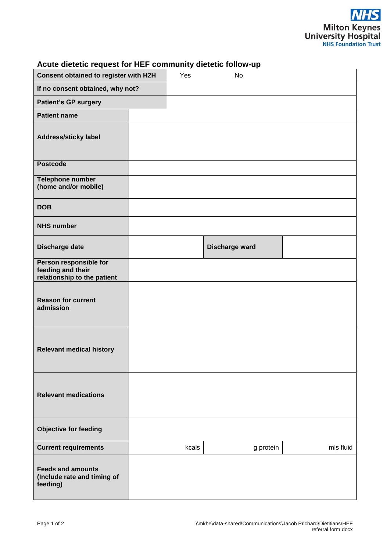| Consent obtained to register with H2H                                      |  | Yes   | <b>No</b>      |           |
|----------------------------------------------------------------------------|--|-------|----------------|-----------|
| If no consent obtained, why not?                                           |  |       |                |           |
| <b>Patient's GP surgery</b>                                                |  |       |                |           |
| <b>Patient name</b>                                                        |  |       |                |           |
| <b>Address/sticky label</b>                                                |  |       |                |           |
| <b>Postcode</b>                                                            |  |       |                |           |
| Telephone number<br>(home and/or mobile)                                   |  |       |                |           |
| <b>DOB</b>                                                                 |  |       |                |           |
| <b>NHS number</b>                                                          |  |       |                |           |
| Discharge date                                                             |  |       | Discharge ward |           |
| Person responsible for<br>feeding and their<br>relationship to the patient |  |       |                |           |
| <b>Reason for current</b><br>admission                                     |  |       |                |           |
| <b>Relevant medical history</b>                                            |  |       |                |           |
| <b>Relevant medications</b>                                                |  |       |                |           |
| <b>Objective for feeding</b>                                               |  |       |                |           |
| <b>Current requirements</b>                                                |  | kcals | g protein      | mls fluid |
| <b>Feeds and amounts</b><br>(Include rate and timing of<br>feeding)        |  |       |                |           |

## **Acute dietetic request for HEF community dietetic follow-up**